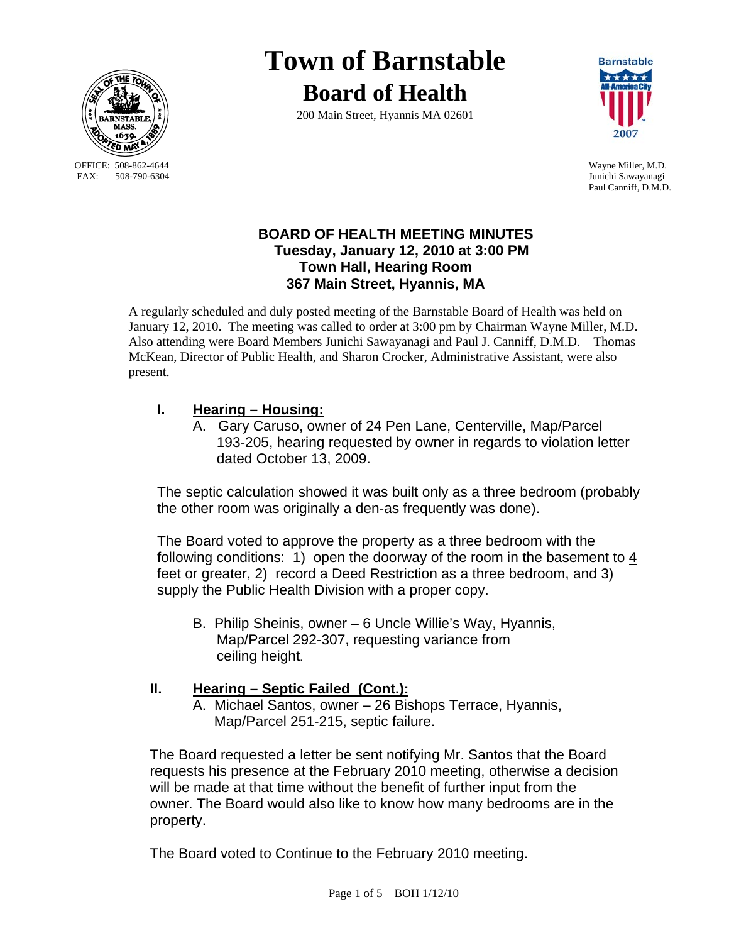

OFFICE: 508-862-4644 Wayne Miller, M.D.<br>
FAX: 508-790-6304 Junichi Sawavanagi

# **Town of Barnstable Board of Health**

200 Main Street, Hyannis MA 02601



Junichi Sawayanagi Paul Canniff, D.M.D.

## **BOARD OF HEALTH MEETING MINUTES Tuesday, January 12, 2010 at 3:00 PM Town Hall, Hearing Room 367 Main Street, Hyannis, MA**

A regularly scheduled and duly posted meeting of the Barnstable Board of Health was held on January 12, 2010. The meeting was called to order at 3:00 pm by Chairman Wayne Miller, M.D. Also attending were Board Members Junichi Sawayanagi and Paul J. Canniff, D.M.D. Thomas McKean, Director of Public Health, and Sharon Crocker, Administrative Assistant, were also present.

# **I. Hearing – Housing:**

A. Gary Caruso, owner of 24 Pen Lane, Centerville, Map/Parcel 193-205, hearing requested by owner in regards to violation letter dated October 13, 2009.

The septic calculation showed it was built only as a three bedroom (probably the other room was originally a den-as frequently was done).

The Board voted to approve the property as a three bedroom with the following conditions: 1) open the doorway of the room in the basement to 4 feet or greater, 2) record a Deed Restriction as a three bedroom, and 3) supply the Public Health Division with a proper copy.

 B. Philip Sheinis, owner – 6 Uncle Willie's Way, Hyannis, Map/Parcel 292-307, requesting variance from ceiling height.

## **II. Hearing – Septic Failed (Cont.):**

A. Michael Santos, owner – 26 Bishops Terrace, Hyannis, Map/Parcel 251-215, septic failure.

The Board requested a letter be sent notifying Mr. Santos that the Board requests his presence at the February 2010 meeting, otherwise a decision will be made at that time without the benefit of further input from the owner. The Board would also like to know how many bedrooms are in the property.

The Board voted to Continue to the February 2010 meeting.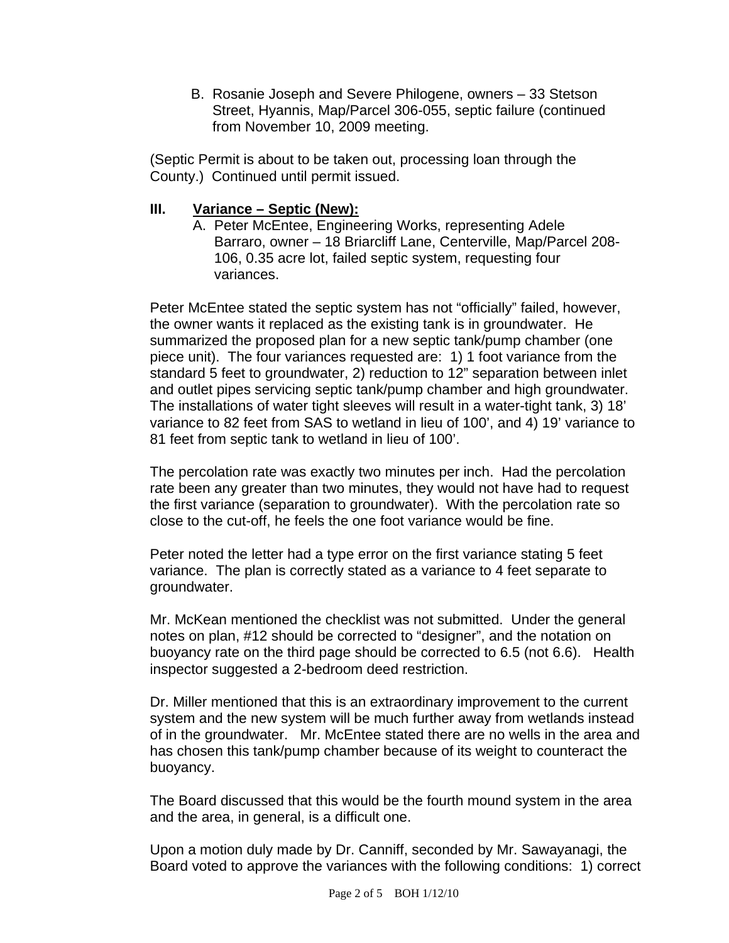B. Rosanie Joseph and Severe Philogene, owners – 33 Stetson Street, Hyannis, Map/Parcel 306-055, septic failure (continued from November 10, 2009 meeting.

(Septic Permit is about to be taken out, processing loan through the County.) Continued until permit issued.

#### **III. Variance – Septic (New):**

A. Peter McEntee, Engineering Works, representing Adele Barraro, owner – 18 Briarcliff Lane, Centerville, Map/Parcel 208- 106, 0.35 acre lot, failed septic system, requesting four variances.

Peter McEntee stated the septic system has not "officially" failed, however, the owner wants it replaced as the existing tank is in groundwater. He summarized the proposed plan for a new septic tank/pump chamber (one piece unit). The four variances requested are: 1) 1 foot variance from the standard 5 feet to groundwater, 2) reduction to 12" separation between inlet and outlet pipes servicing septic tank/pump chamber and high groundwater. The installations of water tight sleeves will result in a water-tight tank, 3) 18' variance to 82 feet from SAS to wetland in lieu of 100', and 4) 19' variance to 81 feet from septic tank to wetland in lieu of 100'.

The percolation rate was exactly two minutes per inch. Had the percolation rate been any greater than two minutes, they would not have had to request the first variance (separation to groundwater). With the percolation rate so close to the cut-off, he feels the one foot variance would be fine.

Peter noted the letter had a type error on the first variance stating 5 feet variance. The plan is correctly stated as a variance to 4 feet separate to groundwater.

Mr. McKean mentioned the checklist was not submitted. Under the general notes on plan, #12 should be corrected to "designer", and the notation on buoyancy rate on the third page should be corrected to 6.5 (not 6.6). Health inspector suggested a 2-bedroom deed restriction.

Dr. Miller mentioned that this is an extraordinary improvement to the current system and the new system will be much further away from wetlands instead of in the groundwater. Mr. McEntee stated there are no wells in the area and has chosen this tank/pump chamber because of its weight to counteract the buoyancy.

The Board discussed that this would be the fourth mound system in the area and the area, in general, is a difficult one.

Upon a motion duly made by Dr. Canniff, seconded by Mr. Sawayanagi, the Board voted to approve the variances with the following conditions: 1) correct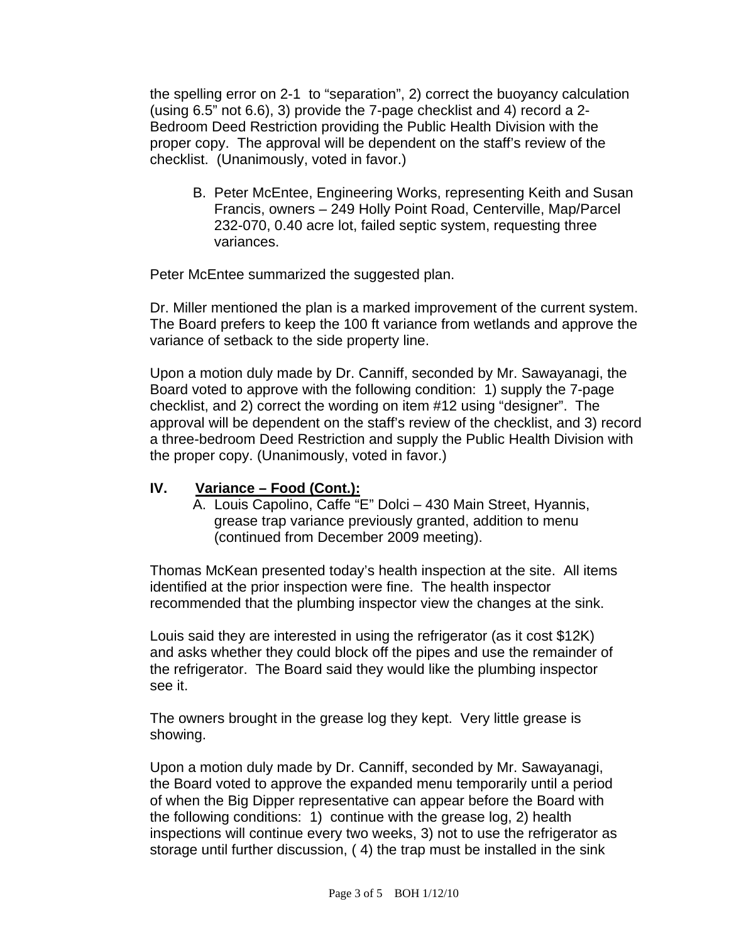the spelling error on 2-1 to "separation", 2) correct the buoyancy calculation (using 6.5" not 6.6), 3) provide the 7-page checklist and 4) record a 2- Bedroom Deed Restriction providing the Public Health Division with the proper copy. The approval will be dependent on the staff's review of the checklist. (Unanimously, voted in favor.)

B. Peter McEntee, Engineering Works, representing Keith and Susan Francis, owners – 249 Holly Point Road, Centerville, Map/Parcel 232-070, 0.40 acre lot, failed septic system, requesting three variances.

Peter McEntee summarized the suggested plan.

Dr. Miller mentioned the plan is a marked improvement of the current system. The Board prefers to keep the 100 ft variance from wetlands and approve the variance of setback to the side property line.

Upon a motion duly made by Dr. Canniff, seconded by Mr. Sawayanagi, the Board voted to approve with the following condition: 1) supply the 7-page checklist, and 2) correct the wording on item #12 using "designer". The approval will be dependent on the staff's review of the checklist, and 3) record a three-bedroom Deed Restriction and supply the Public Health Division with the proper copy. (Unanimously, voted in favor.)

#### **IV. Variance – Food (Cont.):**

A. Louis Capolino, Caffe "E" Dolci – 430 Main Street, Hyannis, grease trap variance previously granted, addition to menu (continued from December 2009 meeting).

Thomas McKean presented today's health inspection at the site. All items identified at the prior inspection were fine. The health inspector recommended that the plumbing inspector view the changes at the sink.

Louis said they are interested in using the refrigerator (as it cost \$12K) and asks whether they could block off the pipes and use the remainder of the refrigerator. The Board said they would like the plumbing inspector see it.

The owners brought in the grease log they kept. Very little grease is showing.

Upon a motion duly made by Dr. Canniff, seconded by Mr. Sawayanagi, the Board voted to approve the expanded menu temporarily until a period of when the Big Dipper representative can appear before the Board with the following conditions: 1) continue with the grease log, 2) health inspections will continue every two weeks, 3) not to use the refrigerator as storage until further discussion, ( 4) the trap must be installed in the sink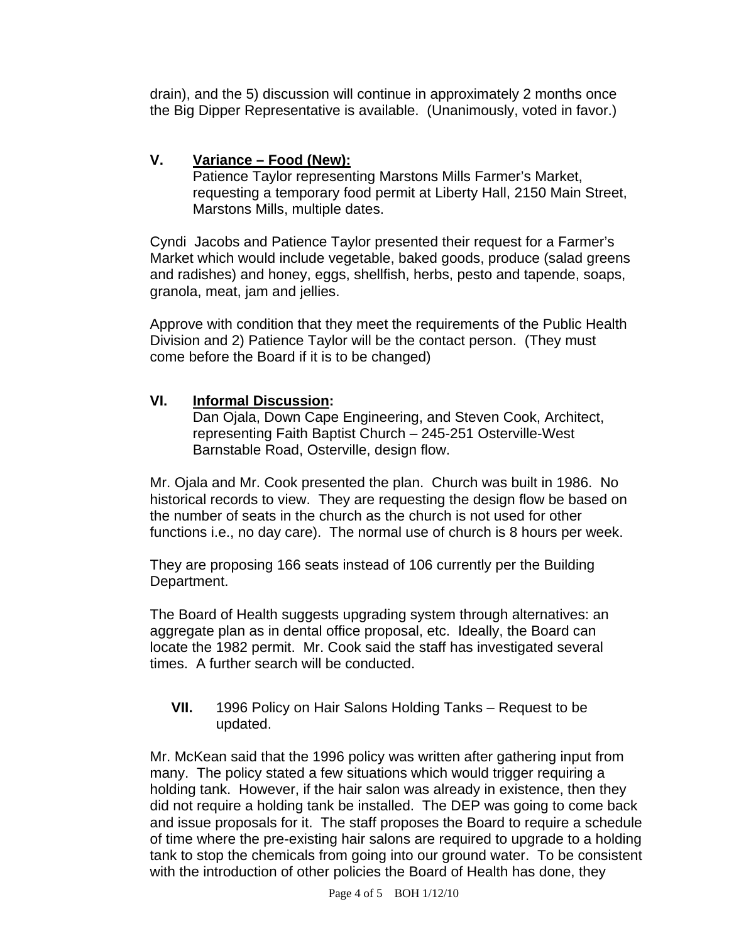drain), and the 5) discussion will continue in approximately 2 months once the Big Dipper Representative is available. (Unanimously, voted in favor.)

## **V. Variance – Food (New):**

Patience Taylor representing Marstons Mills Farmer's Market, requesting a temporary food permit at Liberty Hall, 2150 Main Street, Marstons Mills, multiple dates.

Cyndi Jacobs and Patience Taylor presented their request for a Farmer's Market which would include vegetable, baked goods, produce (salad greens and radishes) and honey, eggs, shellfish, herbs, pesto and tapende, soaps, granola, meat, jam and jellies.

Approve with condition that they meet the requirements of the Public Health Division and 2) Patience Taylor will be the contact person. (They must come before the Board if it is to be changed)

#### **VI. Informal Discussion:**

 Dan Ojala, Down Cape Engineering, and Steven Cook, Architect, representing Faith Baptist Church – 245-251 Osterville-West Barnstable Road, Osterville, design flow.

Mr. Ojala and Mr. Cook presented the plan. Church was built in 1986. No historical records to view. They are requesting the design flow be based on the number of seats in the church as the church is not used for other functions i.e., no day care). The normal use of church is 8 hours per week.

They are proposing 166 seats instead of 106 currently per the Building Department.

The Board of Health suggests upgrading system through alternatives: an aggregate plan as in dental office proposal, etc. Ideally, the Board can locate the 1982 permit. Mr. Cook said the staff has investigated several times. A further search will be conducted.

#### **VII.** 1996 Policy on Hair Salons Holding Tanks – Request to be updated.

Mr. McKean said that the 1996 policy was written after gathering input from many. The policy stated a few situations which would trigger requiring a holding tank. However, if the hair salon was already in existence, then they did not require a holding tank be installed. The DEP was going to come back and issue proposals for it. The staff proposes the Board to require a schedule of time where the pre-existing hair salons are required to upgrade to a holding tank to stop the chemicals from going into our ground water. To be consistent with the introduction of other policies the Board of Health has done, they